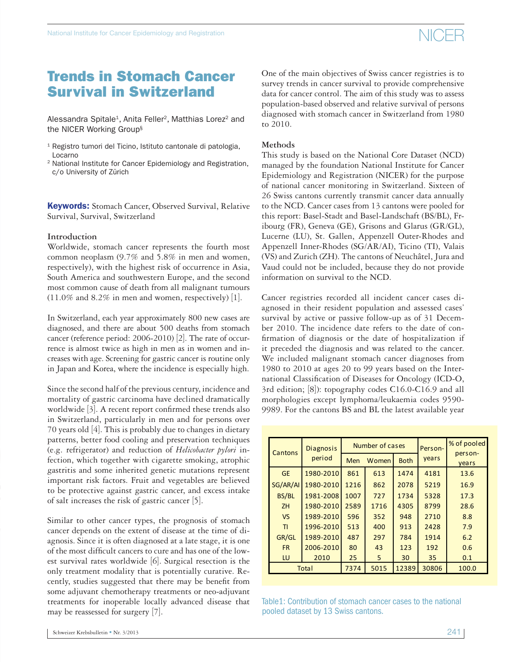Alessandra Spitale<sup>1</sup>, Anita Feller<sup>2</sup>, Matthias Lorez<sup>2</sup> and the NICER Working Group§

- <sup>1</sup> Registro tumori del Ticino, Istituto cantonale di patologia, Locarno
- 2 National Institute for Cancer Epidemiology and Registration, c/o University of Zürich

**Keywords:** Stomach Cancer, Observed Survival, Relative Survival, Survival, Switzerland

#### **Introduction**

Worldwide, stomach cancer represents the fourth most common neoplasm (9.7% and 5.8% in men and women, respectively), with the highest risk of occurrence in Asia, South America and southwestern Europe, and the second most common cause of death from all malignant tumours  $(11.0\%$  and 8.2% in men and women, respectively) [1].

In Switzerland, each year approximately 800 new cases are diagnosed, and there are about 500 deaths from stomach cancer (reference period: 2006-2010) [2]. The rate of occurrence is almost twice as high in men as in women and increases with age. Screening for gastric cancer is routine only in Japan and Korea, where the incidence is especially high.

Since the second half of the previous century, incidence and mortality of gastric carcinoma have declined dramatically worldwide  $[3]$ . A recent report confirmed these trends also in Switzerland, particularly in men and for persons over 70 years old [4]. This is probably due to changes in dietary patterns, better food cooling and preservation techniques (e.g. refrigerator) and reduction of *Helicobacter pylori* infection, which together with cigarette smoking, atrophic gastritis and some inherited genetic mutations represent important risk factors. Fruit and vegetables are believed to be protective against gastric cancer, and excess intake of salt increases the risk of gastric cancer [5].

Similar to other cancer types, the prognosis of stomach cancer depends on the extent of disease at the time of diagnosis. Since it is often diagnosed at a late stage, it is one of the most difficult cancers to cure and has one of the lowest survival rates worldwide [6]. Surgical resection is the only treatment modality that is potentially curative. Recently, studies suggested that there may be benefit from some adjuvant chemotherapy treatments or neo-adjuvant treatments for inoperable locally advanced disease that may be reassessed for surgery [7].

One of the main objectives of Swiss cancer registries is to survey trends in cancer survival to provide comprehensive data for cancer control. The aim of this study was to assess population-based observed and relative survival of persons diagnosed with stomach cancer in Switzerland from 1980 to 2010.

NICER

### **Methods**

This study is based on the National Core Dataset (NCD) managed by the foundation National Institute for Cancer Epidemiology and Registration (NICER) for the purpose of national cancer monitoring in Switzerland. Sixteen of 26 Swiss cantons currently transmit cancer data annually to the NCD. Cancer cases from 13 cantons were pooled for this report: Basel-Stadt and Basel-Landschaft (BS/BL), Fribourg (FR), Geneva (GE), Grisons and Glarus (GR/GL), Lucerne (LU), St. Gallen, Appenzell Outer-Rhodes and Appenzell Inner-Rhodes (SG/AR/AI), Ticino (TI), Valais (VS) and Zurich (ZH). The cantons of Neuchâtel, Jura and Vaud could not be included, because they do not provide information on survival to the NCD.

Cancer registries recorded all incident cancer cases diagnosed in their resident population and assessed cases' survival by active or passive follow-up as of 31 December 2010. The incidence date refers to the date of con firmation of diagnosis or the date of hospitalization if it preceded the diagnosis and was related to the cancer. We included malignant stomach cancer diagnoses from 1980 to 2010 at ages 20 to 99 years based on the International Classification of Diseases for Oncology (ICD-O, 3rd edition; [8]): topography codes C16.0-C16.9 and all morphologies except lymphoma/leukaemia codes 9590- 9989. For the cantons BS and BL the latest available year

| Cantons   | <b>Diagnosis</b> |      | Number of cases |             | Person- | % of pooled      |  |
|-----------|------------------|------|-----------------|-------------|---------|------------------|--|
|           | period           | Men  | Women           | <b>Both</b> | vears   | person-<br>years |  |
| <b>GE</b> | 1980-2010        | 861  | 613             | 1474        | 4181    | 13.6             |  |
| SG/AR/AI  | 1980-2010        | 1216 | 862             | 2078        | 5219    | 16.9             |  |
| BS/BL     | 1981-2008        | 1007 | 727             | 1734        | 5328    | 17.3             |  |
| ZH        | 1980-2010        | 2589 | 1716            | 4305        | 8799    | 28.6             |  |
| <b>VS</b> | 1989-2010        | 596  | 352             | 948         | 2710    | 8.8              |  |
| T1        | 1996-2010        | 513  | 400             | 913         | 2428    | 7.9              |  |
| GR/GL     | 1989-2010        | 487  | 297             | 784         | 1914    | 6.2              |  |
| <b>FR</b> | 2006-2010        | 80   | 43              | 123         | 192     | 0.6              |  |
| LU        | 2010             | 25   | 5               | 30          | 35      | 0.1              |  |
|           | Total            |      | 5015            | 12389       | 30806   | 100.0            |  |

Table1: Contribution of stomach cancer cases to the national pooled dataset by 13 Swiss cantons.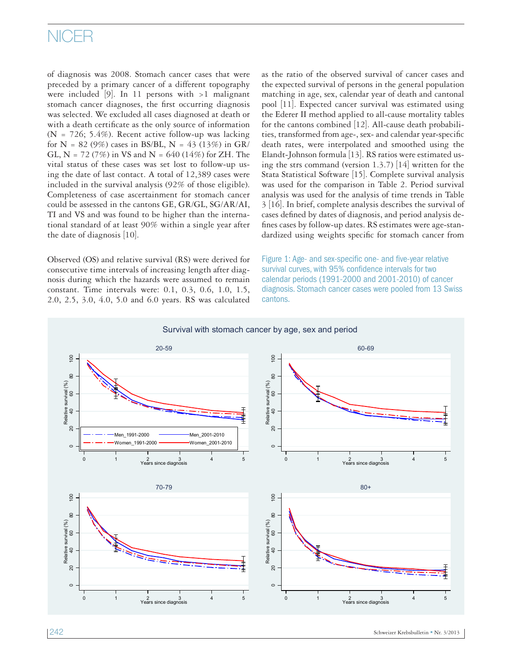# NICER

of diagnosis was 2008. Stomach cancer cases that were preceded by a primary cancer of a different topography were included  $[9]$ . In 11 persons with >1 malignant stomach cancer diagnoses, the first occurring diagnosis was selected. We excluded all cases diagnosed at death or with a death certificate as the only source of information (N = 726; 5.4%). Recent active follow-up was lacking for N = 82 (9%) cases in BS/BL, N = 43 (13%) in GR/ GL, N = 72 (7%) in VS and N = 640 (14%) for ZH. The vital status of these cases was set lost to follow-up using the date of last contact. A total of 12,389 cases were included in the survival analysis (92% of those eligible). Completeness of case ascertainment for stomach cancer could be assessed in the cantons GE, GR/GL, SG/AR/AI, TI and VS and was found to be higher than the international standard of at least 90% within a single year after the date of diagnosis [10].

Observed (OS) and relative survival (RS) were derived for consecutive time intervals of increasing length after diagnosis during which the hazards were assumed to remain constant. Time intervals were: 0.1, 0.3, 0.6, 1.0, 1.5, 2.0, 2.5, 3.0, 4.0, 5.0 and 6.0 years. RS was calculated

as the ratio of the observed survival of cancer cases and the expected survival of persons in the general population matching in age, sex, calendar year of death and cantonal pool [11]. Expected cancer survival was estimated using the Ederer II method applied to all-cause mortality tables for the cantons combined [12]. All-cause death probabilities, transformed from age-, sex- and calendar year-specific death rates, were interpolated and smoothed using the Elandt-Johnson formula [13]. RS ratios were estimated using the strs command (version 1.3.7) [14] written for the Stata Statistical Software [15]. Complete survival analysis was used for the comparison in Table 2. Period survival analysis was used for the analysis of time trends in Table 3 [16]. In brief, complete analysis describes the survival of cases defined by dates of diagnosis, and period analysis defines cases by follow-up dates. RS estimates were age-standardized using weights specific for stomach cancer from

Figure 1: Age- and sex-specific one- and five-year relative survival curves, with 95% confidence intervals for two calendar periods (1991-2000 and 2001-2010) of cancer diagnosis. Stomach cancer cases were pooled from 13 Swiss cantons.

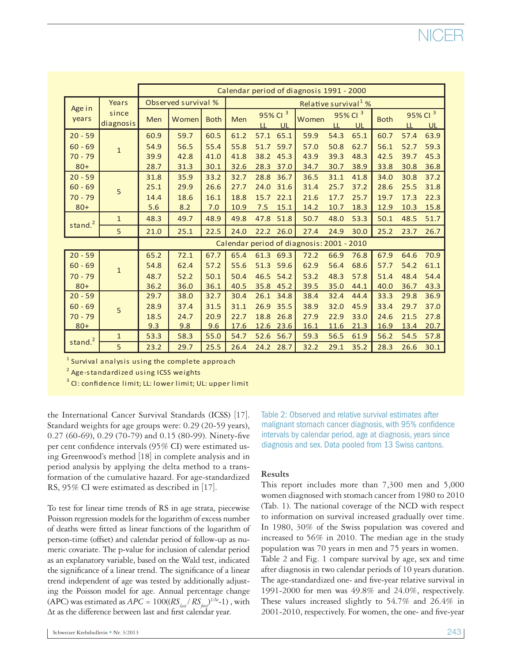|                                           |                    |                     | Calendar period of diagnosis 1991 - 2000 |             |                                  |      |                                  |       |      |                           |             |      |                           |
|-------------------------------------------|--------------------|---------------------|------------------------------------------|-------------|----------------------------------|------|----------------------------------|-------|------|---------------------------|-------------|------|---------------------------|
| Age in                                    | Years              | Observed survival % |                                          |             | Relative survival <sup>1</sup> % |      |                                  |       |      |                           |             |      |                           |
| years                                     | since<br>diagnosis | Men                 | Women                                    | <b>Both</b> | Men                              | LL   | 95% Cl <sup>3</sup><br><b>UL</b> | Women | LL   | 95% Cl <sup>3</sup><br>UL | <b>Both</b> | LL   | 95% Cl <sup>3</sup><br>UL |
| $20 - 59$                                 |                    | 60.9                | 59.7                                     | 60.5        | 61.2                             | 57.1 | 65.1                             | 59.9  | 54.3 | 65.1                      | 60.7        | 57.4 | 63.9                      |
| $60 - 69$                                 | $\overline{1}$     | 54.9                | 56.5                                     | 55.4        | 55.8                             | 51.7 | 59.7                             | 57.0  | 50.8 | 62.7                      | 56.1        | 52.7 | 59.3                      |
| $70 - 79$                                 |                    | 39.9                | 42.8                                     | 41.0        | 41.8                             | 38.2 | 45.3                             | 43.9  | 39.3 | 48.3                      | 42.5        | 39.7 | 45.3                      |
| $80+$                                     |                    | 28.7                | 31.3                                     | 30.1        | 32.6                             | 28.3 | 37.0                             | 34.7  | 30.7 | 38.9                      | 33.8        | 30.8 | 36.8                      |
| $20 - 59$                                 | 5                  | 31.8                | 35.9                                     | 33.2        | 32.7                             | 28.8 | 36.7                             | 36.5  | 31.1 | 41.8                      | 34.0        | 30.8 | 37.2                      |
| $60 - 69$                                 |                    | 25.1                | 29.9                                     | 26.6        | 27.7                             | 24.0 | 31.6                             | 31.4  | 25.7 | 37.2                      | 28.6        | 25.5 | 31.8                      |
| $70 - 79$                                 |                    | 14.4                | 18.6                                     | 16.1        | 18.8                             | 15.7 | 22.1                             | 21.6  | 17.7 | 25.7                      | 19.7        | 17.3 | 22.3                      |
| $80+$                                     |                    | 5.6                 | 8.2                                      | 7.0         | 10.9                             | 7.5  | 15.1                             | 14.2  | 10.7 | 18.3                      | 12.9        | 10.3 | 15.8                      |
| stand. <sup>2</sup>                       | $\mathbf{1}$       | 48.3                | 49.7                                     | 48.9        | 49.8                             | 47.8 | 51.8                             | 50.7  | 48.0 | 53.3                      | 50.1        | 48.5 | 51.7                      |
|                                           | 5                  | 21.0                | 25.1                                     | 22.5        | 24.0                             |      | 22.2 26.0                        | 27.4  | 24.9 | 30.0                      | 25.2        | 23.7 | 26.7                      |
| Calendar period of diagnosis: 2001 - 2010 |                    |                     |                                          |             |                                  |      |                                  |       |      |                           |             |      |                           |
| $20 - 59$                                 |                    | 65.2                | 72.1                                     | 67.7        | 65.4                             |      | 61.3 69.3                        | 72.2  | 66.9 | 76.8                      | 67.9        | 64.6 | 70.9                      |
| $60 - 69$                                 | $\overline{1}$     | 54.8                | 62.4                                     | 57.2        | 55.6                             | 51.3 | 59.6                             | 62.9  | 56.4 | 68.6                      | 57.7        | 54.2 | 61.1                      |
| $70 - 79$                                 |                    | 48.7                | 52.2                                     | 50.1        | 50.4                             | 46.5 | 54.2                             | 53.2  | 48.3 | 57.8                      | 51.4        | 48.4 | 54.4                      |
| $80+$                                     |                    | 36.2                | 36.0                                     | 36.1        | 40.5                             | 35.8 | 45.2                             | 39.5  | 35.0 | 44.1                      | 40.0        | 36.7 | 43.3                      |
| $20 - 59$                                 | 5                  | 29.7                | 38.0                                     | 32.7        | 30.4                             | 26.1 | 34.8                             | 38.4  | 32.4 | 44.4                      | 33.3        | 29.8 | 36.9                      |
| $60 - 69$                                 |                    | 28.9                | 37.4                                     | 31.5        | 31.1                             | 26.9 | 35.5                             | 38.9  | 32.0 | 45.9                      | 33.4        | 29.7 | 37.0                      |
| $70 - 79$                                 |                    | 18.5                | 24.7                                     | 20.9        | 22.7                             | 18.8 | 26.8                             | 27.9  | 22.9 | 33.0                      | 24.6        | 21.5 | 27.8                      |
| $80+$                                     |                    | 9.3                 | 9.8                                      | 9.6         | 17.6                             | 12.6 | 23.6                             | 16.1  | 11.6 | 21.3                      | 16.9        | 13.4 | 20.7                      |
| stand. $2$                                | $\mathbf{1}$       | 53.3                | 58.3                                     | 55.0        | 54.7                             | 52.6 | 56.7                             | 59.3  | 56.5 | 61.9                      | 56.2        | 54.5 | 57.8                      |
|                                           | 5                  | 23.2                | 29.7                                     | 25.5        | 26.4                             | 24.2 | 28.7                             | 32.2  | 29.1 | 35.2                      | 28.3        | 26.6 | 30.1                      |

 $^1$  Survival analysis using the complete approach

<sup>2</sup> Age-standardized using ICSS weights

 $^{\rm 3}$  CI: confidence limit; LL: lower limit; UL: upper limit

the International Cancer Survival Standards (ICSS) [17]. Standard weights for age groups were: 0.29 (20-59 years), 0.27 (60-69), 0.29 (70-79) and 0.15 (80-99). Ninety-five per cent confidence intervals (95% CI) were estimated using Greenwood's method [18] in complete analysis and in period analysis by applying the delta method to a transformation of the cumulative hazard. For age-standardized RS, 95% CI were estimated as described in [17].

To test for linear time trends of RS in age strata, piecewise Poisson regression models for the logarithm of excess number of deaths were fitted as linear functions of the logarithm of person-time (offset) and calendar period of follow-up as numeric covariate. The p-value for inclusion of calendar period as an explanatory variable, based on the Wald test, indicated the significance of a linear trend. The significance of a linear trend independent of age was tested by additionally adjusting the Poisson model for age. Annual percentage change (APC) was estimated as  $APC = 100((RS_{\text{last}}/RS_{\text{first}})^{1/\Delta t} - 1)$ , with ∆t as the difference between last and first calendar year.

Table 2: Observed and relative survival estimates after malignant stomach cancer diagnosis, with 95% confidence intervals by calendar period, age at diagnosis, years since diagnosis and sex. Data pooled from 13 Swiss cantons.

## **Results**

This report includes more than 7,300 men and 5,000 women diagnosed with stomach cancer from 1980 to 2010 (Tab. 1). The national coverage of the NCD with respect to information on survival increased gradually over time. In 1980, 30% of the Swiss population was covered and increased to 56% in 2010. The median age in the study population was 70 years in men and 75 years in women. Table 2 and Fig. 1 compare survival by age, sex and time after diagnosis in two calendar periods of 10 years duration. The age-standardized one- and five-year relative survival in 1991-2000 for men was 49.8% and 24.0%, respectively. These values increased slightly to 54.7% and 26.4% in 2001-2010, respectively. For women, the one- and five-year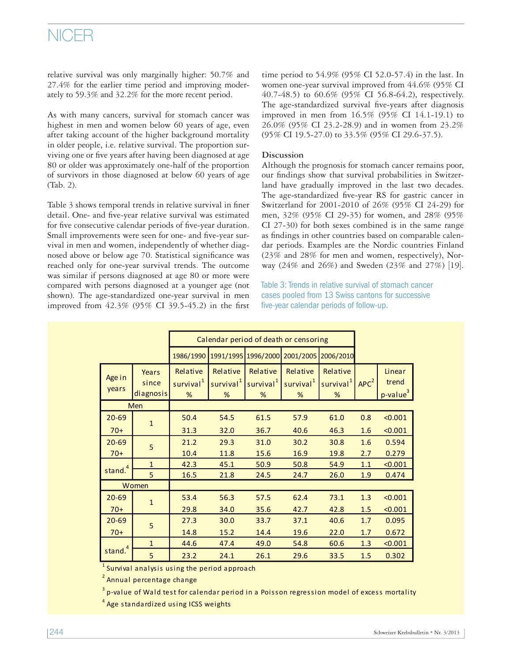# NICER

relative survival was only marginally higher: 50.7% and 27.4% for the earlier time period and improving moderately to 59.3% and 32.2% for the more recent period.

As with many cancers, survival for stomach cancer was highest in men and women below 60 years of age, even after taking account of the higher background mortality in older people, i.e. relative survival. The proportion surviving one or five years after having been diagnosed at age 80 or older was approximately one-half of the proportion of survivors in those diagnosed at below 60 years of age (Tab. 2).

Table 3 shows temporal trends in relative survival in finer detail. One- and five-year relative survival was estimated for five consecutive calendar periods of five-year duration. Small improvements were seen for one- and five-year survival in men and women, independently of whether diagnosed above or below age 70. Statistical significance was reached only for one-year survival trends. The outcome was similar if persons diagnosed at age 80 or more were compared with persons diagnosed at a younger age (not shown). The age-standardized one-year survival in men improved from  $42.3\%$  (95% CI 39.5-45.2) in the first time period to 54.9% (95% CI 52.0-57.4) in the last. In women one-year survival improved from 44.6% (95% CI 40.7-48.5) to 60.6% (95% CI 56.8-64.2), respectively. The age-standardized survival five-years after diagnosis improved in men from 16.5% (95% CI 14.1-19.1) to 26.0% (95% CI 23.2-28.9) and in women from 23.2% (95% CI 19.5-27.0) to 33.5% (95% CI 29.6-37.5).

### **Discussion**

Although the prognosis for stomach cancer remains poor, our findings show that survival probabilities in Switzerland have gradually improved in the last two decades. The age-standardized five-year RS for gastric cancer in Switzerland for 2001-2010 of 26% (95% CI 24-29) for men, 32% (95% CI 29-35) for women, and 28% (95% CI 27-30) for both sexes combined is in the same range as findings in other countries based on comparable calendar periods. Examples are the Nordic countries Finland (23% and 28% for men and women, respectively), Norway (24% and 26%) and Sweden (23% and 27%) [19].

Table 3: Trends in relative survival of stomach cancer cases pooled from 13 Swiss cantons for successive five-year calendar periods of follow-up.

|                     |                             | Calendar period of death or censoring  |                                        |                                        |                                        |                                        |                  |                                         |
|---------------------|-----------------------------|----------------------------------------|----------------------------------------|----------------------------------------|----------------------------------------|----------------------------------------|------------------|-----------------------------------------|
|                     |                             | 1986/1990                              |                                        | 1991/1995 1996/2000                    | 2001/2005                              | 2006/2010                              |                  |                                         |
| Age in<br>vears     | Years<br>since<br>diagnosis | Relative<br>survival <sup>1</sup><br>% | Relative<br>survival <sup>1</sup><br>% | Relative<br>survival <sup>1</sup><br>% | Relative<br>survival <sup>1</sup><br>% | Relative<br>survival <sup>1</sup><br>% | APC <sup>2</sup> | Linear<br>trend<br>p-value <sup>3</sup> |
|                     | Men                         |                                        |                                        |                                        |                                        |                                        |                  |                                         |
| $20 - 69$           | $\mathbf{1}$                | 50.4                                   | 54.5                                   | 61.5                                   | 57.9                                   | 61.0                                   | 0.8              | < 0.001                                 |
| $70+$               |                             | 31.3                                   | 32.0                                   | 36.7                                   | 40.6                                   | 46.3                                   | 1.6              | < 0.001                                 |
| $20 - 69$           | 5                           | 21.2                                   | 29.3                                   | 31.0                                   | 30.2                                   | 30.8                                   | 1.6              | 0.594                                   |
| $70+$               |                             | 10.4                                   | 11.8                                   | 15.6                                   | 16.9                                   | 19.8                                   | 2.7              | 0.279                                   |
| stand. <sup>4</sup> | $\mathbf{1}$                | 42.3                                   | 45.1                                   | 50.9                                   | 50.8                                   | 54.9                                   | 1.1              | < 0.001                                 |
|                     | 5                           | 16.5                                   | 21.8                                   | 24.5                                   | 24.7                                   | 26.0                                   | 1.9              | 0.474                                   |
| Women               |                             |                                        |                                        |                                        |                                        |                                        |                  |                                         |
| $20 - 69$           | $\overline{1}$              | 53.4                                   | 56.3                                   | 57.5                                   | 62.4                                   | 73.1                                   | 1.3              | < 0.001                                 |
| $70+$               |                             | 29.8                                   | 34.0                                   | 35.6                                   | 42.7                                   | 42.8                                   | 1.5              | < 0.001                                 |
| $20 - 69$           | 5                           | 27.3                                   | 30.0                                   | 33.7                                   | 37.1                                   | 40.6                                   | 1.7              | 0.095                                   |
| $70+$               |                             | 14.8                                   | 15.2                                   | 14.4                                   | 19.6                                   | 22.0                                   | 1.7              | 0.672                                   |
|                     | $\mathbf{1}$                | 44.6                                   | 47.4                                   | 49.0                                   | 54.8                                   | 60.6                                   | 1.3              | < 0.001                                 |
| stand. <sup>4</sup> | 5                           | 23.2                                   | 24.1                                   | 26.1                                   | 29.6                                   | 33.5                                   | 1.5              | 0.302                                   |

 $^{\text{1}}$  Survival analysis using the period approach

<sup>2</sup> Annual percentage change

 $^{\rm 3}$  p-value of Wald test for calendar period in a Poisson regression model of excess mortality

<sup>4</sup> Age standardized using ICSS weights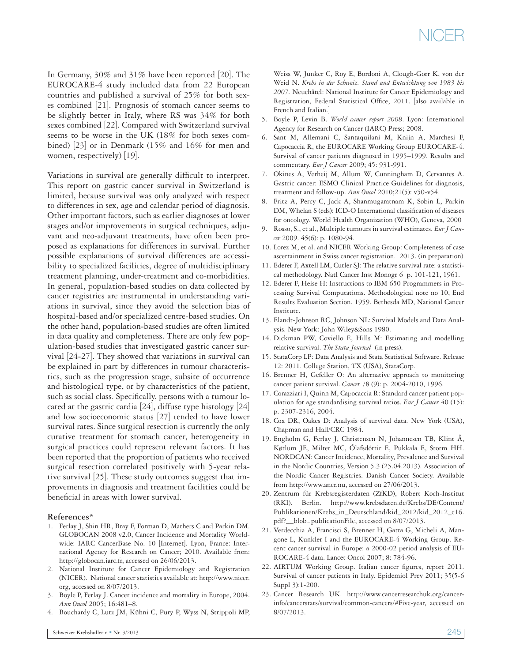In Germany, 30% and 31% have been reported [20]. The EUROCARE-4 study included data from 22 European countries and published a survival of 25% for both sexes combined [21]. Prognosis of stomach cancer seems to be slightly better in Italy, where RS was 34% for both sexes combined [22]. Compared with Switzerland survival seems to be worse in the UK (18% for both sexes combined) [23] or in Denmark (15% and 16% for men and women, respectively) [19].

Variations in survival are generally difficult to interpret. This report on gastric cancer survival in Switzerland is limited, because survival was only analyzed with respect to differences in sex, age and calendar period of diagnosis. Other important factors, such as earlier diagnoses at lower stages and/or improvements in surgical techniques, adjuvant and neo-adjuvant treatments, have often been proposed as explanations for differences in survival. Further possible explanations of survival differences are accessibility to specialized facilities, degree of multidisciplinary treatment planning, under-treatment and co-morbidities. In general, population-based studies on data collected by cancer registries are instrumental in understanding variations in survival, since they avoid the selection bias of hospital-based and/or specialized centre-based studies. On the other hand, population-based studies are often limited in data quality and completeness. There are only few population-based studies that investigated gastric cancer survival [24-27]. They showed that variations in survival can be explained in part by differences in tumour characteristics, such as the progression stage, subsite of occurrence and histological type, or by characteristics of the patient, such as social class. Specifically, persons with a tumour located at the gastric cardia [24], diffuse type histology [24] and low socioeconomic status [27] tended to have lower survival rates. Since surgical resection is currently the only curative treatment for stomach cancer, heterogeneity in surgical practices could represent relevant factors. It has been reported that the proportion of patients who received surgical resection correlated positively with 5-year relative survival [25]. These study outcomes suggest that improvements in diagnosis and treatment facilities could be beneficial in areas with lower survival.

### **References\***

- 1. Ferlay J, Shin HR, Bray F, Forman D, Mathers C and Parkin DM. GLOBOCAN 2008 v2.0, Cancer Incidence and Mortality Worldwide: IARC CancerBase No. 10 [Internet]. Lyon, France: International Agency for Research on Cancer; 2010. Available from: http://globocan.iarc.fr, accessed on 26/06/2013.
- 2. National Institute for Cancer Epidemiology and Registration (NICER). National cancer statistics available at: http://www.nicer. org, accessed on 8/07/2013.
- 3. Boyle P, Ferlay J. Cancer incidence and mortality in Europe, 2004. *Ann Oncol* 2005; 16:481–8.
- 4. Bouchardy C, Lutz JM, Kühni C, Pury P, Wyss N, Strippoli MP,

Weiss W, Junker C, Roy E, Bordoni A, Clough-Gorr K, von der Weid N. *Krebs in der Schweiz. Stand und Entwicklung von 1983 bis 2007.* Neuchâtel: National Institute for Cancer Epidemiology and Registration, Federal Statistical Office, 2011. [also available in French and Italian.]

- 5. Boyle P, Levin B. *World cancer report 2008*. Lyon: International Agency for Research on Cancer (IARC) Press; 2008.
- 6. Sant M, Allemani C, Santaquilani M, Knijn A, Marchesi F, Capocaccia R, the EUROCARE Working Group EUROCARE-4. Survival of cancer patients diagnosed in 1995–1999. Results and commentary. *Eur J Cancer* 2009; 45: 931-991.
- 7. Okines A, Verheij M, Allum W, Cunningham D, Cervantes A. Gastric cancer: ESMO Clinical Practice Guidelines for diagnosis, treatment and follow-up. *Ann Oncol* 2010;21(5): v50-v54.
- 8. Fritz A, Percy C, Jack A, Shanmugaratnam K, Sobin L, Parkin DM, Whelan S (eds): ICD-O International classification of diseases for oncology. World Health Organization (WHO), Geneva, 2000
- 9. Rosso, S., et al., Multiple tumours in survival estimates. *Eur J Cancer* 2009. **45**(6): p. 1080-94.
- 10. Lorez M, et al. and NICER Working Group: Completeness of case ascertainment in Swiss cancer registration. 2013. (in preparation)
- 11. Ederer F, Axtell LM, Cutler SJ: The relative survival rate: a statistical methodology. Natl Cancer Inst Monogr 6 p. 101-121, 1961.
- 12. Ederer F, Heise H: Instructions to IBM 650 Programmers in Processing Survival Computations. Methodological note no 10, End Results Evaluation Section. 1959. Bethesda MD, National Cancer Institute.
- 13. Elandt-Johnson RC, Johnson NL: Survival Models and Data Analysis. New York: John Wiley&Sons 1980.
- 14. Dickman PW, Coviello E, Hills M: Estimating and modelling relative survival. *The Stata Journal* (in press).
- 15. StataCorp LP: Data Analysis and Stata Statistical Software. Release 12: 2011. College Station, TX (USA), StataCorp.
- 16. Brenner H, Gefeller O: An alternative approach to monitoring cancer patient survival. *Cancer* 78 (9): p. 2004-2010, 1996.
- 17. Corazziari I, Quinn M, Capocaccia R: Standard cancer patient population for age standardising survival ratios. *Eur J Cancer* 40 (15): p. 2307-2316, 2004.
- 18. Cox DR, Oakes D: Analysis of survival data. New York (USA), Chapman and Hall/CRC 1984.
- 19. Engholm G, Ferlay J, Christensen N, Johannesen TB, Klint Å, Køtlum JE, Milter MC, Ólafsdóttir E, Pukkala E, Storm HH. NORDCAN: Cancer Incidence, Mortality, Prevalence and Survival in the Nordic Countries, Version 5.3 (25.04.2013). Association of the Nordic Cancer Registries. Danish Cancer Society. Available from http://www.ancr.nu, accessed on 27/06/2013.
- 20. Zentrum für Krebsregisterdaten (ZfKD), Robert Koch-Institut (RKI). Berlin. http://www.krebsdaten.de/Krebs/DE/Content/ Publikationen/Krebs\_in\_Deutschland/kid\_2012/kid\_2012\_c16. pdf?\_\_blob=publicationFile, accessed on 8/07/2013.
- 21. Verdecchia A, Francisci S, Brenner H, Gatta G, Micheli A, Mangone L, Kunkler I and the EUROCARE-4 Working Group. Recent cancer survival in Europe: a 2000-02 period analysis of EU-ROCARE-4 data. Lancet Oncol 2007; 8: 784-96.
- 22. AIRTUM Working Group. Italian cancer figures, report 2011. Survival of cancer patients in Italy. Epidemiol Prev 2011; 35(5-6 Suppl 3):1-200.
- 23. Cancer Research UK. http://www.cancerresearchuk.org/cancerinfo/cancerstats/survival/common-cancers/#Five-year, accessed on 8/07/2013.